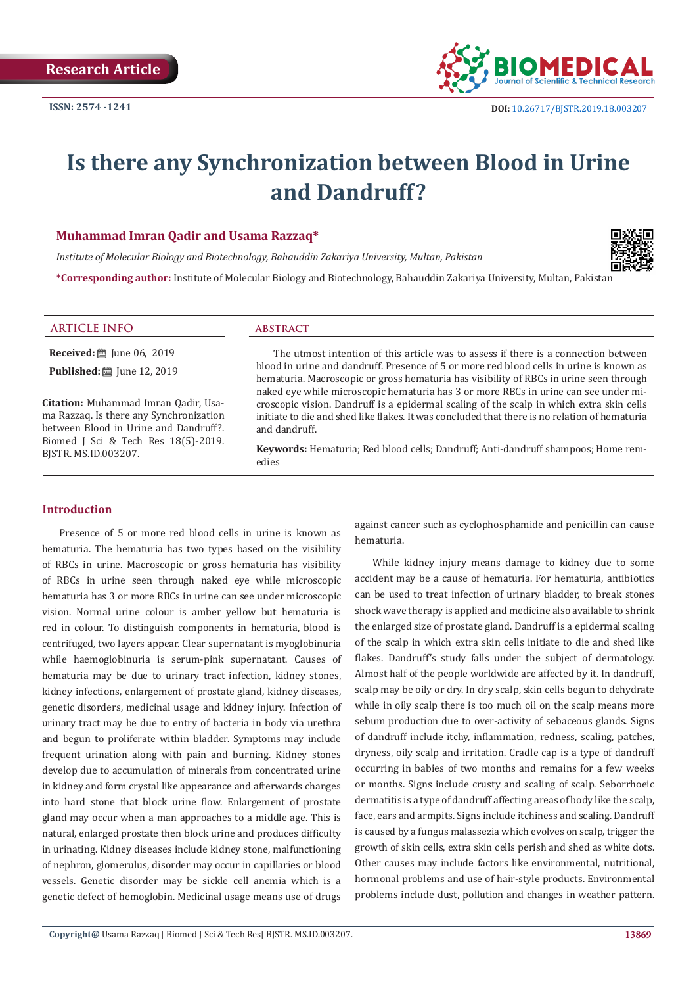

# **Is there any Synchronization between Blood in Urine and Dandruff?**

### **Muhammad Imran Qadir and Usama Razzaq\***

*Institute of Molecular Biology and Biotechnology, Bahauddin Zakariya University, Multan, Pakistan*



**\*Corresponding author:** Institute of Molecular Biology and Biotechnology, Bahauddin Zakariya University, Multan, Pakistan

#### **ARTICLE INFO abstract**

**Received:** ■ June 06, 2019 **Published:** ■ June 12, 2019

**Citation:** Muhammad Imran Qadir, Usama Razzaq. Is there any Synchronization between Blood in Urine and Dandruff?. Biomed J Sci & Tech Res 18(5)-2019. BJSTR. MS.ID.003207.

The utmost intention of this article was to assess if there is a connection between blood in urine and dandruff. Presence of 5 or more red blood cells in urine is known as hematuria. Macroscopic or gross hematuria has visibility of RBCs in urine seen through naked eye while microscopic hematuria has 3 or more RBCs in urine can see under microscopic vision. Dandruff is a epidermal scaling of the scalp in which extra skin cells initiate to die and shed like flakes. It was concluded that there is no relation of hematuria and dandruff.

**Keywords:** Hematuria; Red blood cells; Dandruff; Anti-dandruff shampoos; Home remedies

#### **Introduction**

Presence of 5 or more red blood cells in urine is known as hematuria. The hematuria has two types based on the visibility of RBCs in urine. Macroscopic or gross hematuria has visibility of RBCs in urine seen through naked eye while microscopic hematuria has 3 or more RBCs in urine can see under microscopic vision. Normal urine colour is amber yellow but hematuria is red in colour. To distinguish components in hematuria, blood is centrifuged, two layers appear. Clear supernatant is myoglobinuria while haemoglobinuria is serum-pink supernatant. Causes of hematuria may be due to urinary tract infection, kidney stones, kidney infections, enlargement of prostate gland, kidney diseases, genetic disorders, medicinal usage and kidney injury. Infection of urinary tract may be due to entry of bacteria in body via urethra and begun to proliferate within bladder. Symptoms may include frequent urination along with pain and burning. Kidney stones develop due to accumulation of minerals from concentrated urine in kidney and form crystal like appearance and afterwards changes into hard stone that block urine flow. Enlargement of prostate gland may occur when a man approaches to a middle age. This is natural, enlarged prostate then block urine and produces difficulty in urinating. Kidney diseases include kidney stone, malfunctioning of nephron, glomerulus, disorder may occur in capillaries or blood vessels. Genetic disorder may be sickle cell anemia which is a genetic defect of hemoglobin. Medicinal usage means use of drugs against cancer such as cyclophosphamide and penicillin can cause hematuria.

While kidney injury means damage to kidney due to some accident may be a cause of hematuria. For hematuria, antibiotics can be used to treat infection of urinary bladder, to break stones shock wave therapy is applied and medicine also available to shrink the enlarged size of prostate gland. Dandruff is a epidermal scaling of the scalp in which extra skin cells initiate to die and shed like flakes. Dandruff's study falls under the subject of dermatology. Almost half of the people worldwide are affected by it. In dandruff, scalp may be oily or dry. In dry scalp, skin cells begun to dehydrate while in oily scalp there is too much oil on the scalp means more sebum production due to over-activity of sebaceous glands. Signs of dandruff include itchy, inflammation, redness, scaling, patches, dryness, oily scalp and irritation. Cradle cap is a type of dandruff occurring in babies of two months and remains for a few weeks or months. Signs include crusty and scaling of scalp. Seborrhoeic dermatitis is a type of dandruff affecting areas of body like the scalp, face, ears and armpits. Signs include itchiness and scaling. Dandruff is caused by a fungus malassezia which evolves on scalp, trigger the growth of skin cells, extra skin cells perish and shed as white dots. Other causes may include factors like environmental, nutritional, hormonal problems and use of hair-style products. Environmental problems include dust, pollution and changes in weather pattern.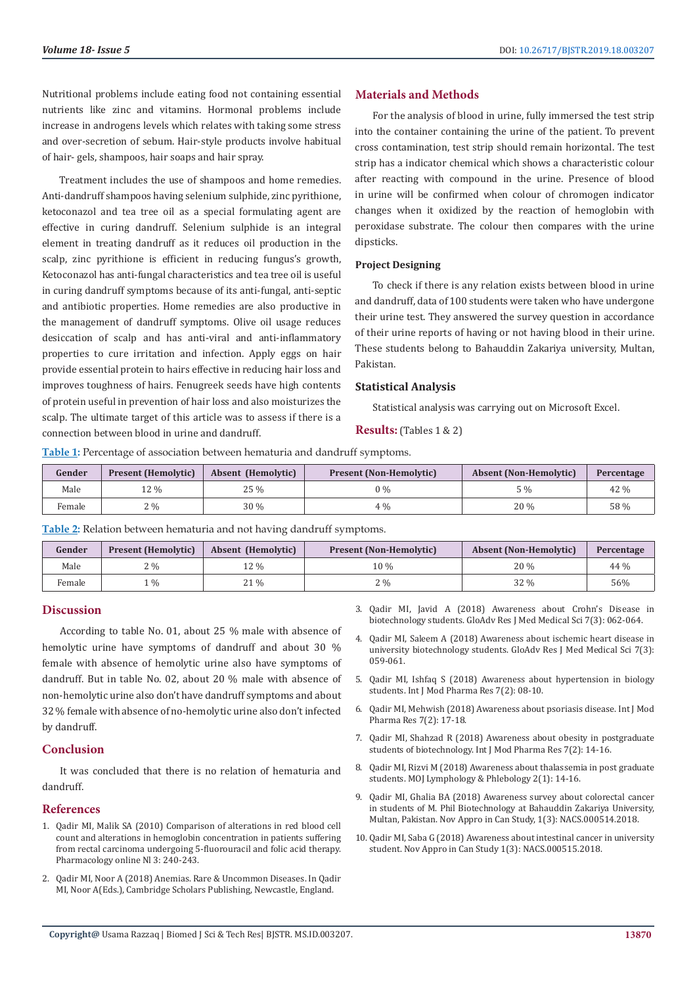Nutritional problems include eating food not containing essential nutrients like zinc and vitamins. Hormonal problems include increase in androgens levels which relates with taking some stress and over-secretion of sebum. Hair-style products involve habitual of hair- gels, shampoos, hair soaps and hair spray.

Treatment includes the use of shampoos and home remedies. Anti-dandruff shampoos having selenium sulphide, zinc pyrithione, ketoconazol and tea tree oil as a special formulating agent are effective in curing dandruff. Selenium sulphide is an integral element in treating dandruff as it reduces oil production in the scalp, zinc pyrithione is efficient in reducing fungus's growth, Ketoconazol has anti-fungal characteristics and tea tree oil is useful in curing dandruff symptoms because of its anti-fungal, anti-septic and antibiotic properties. Home remedies are also productive in the management of dandruff symptoms. Olive oil usage reduces desiccation of scalp and has anti-viral and anti-inflammatory properties to cure irritation and infection. Apply eggs on hair provide essential protein to hairs effective in reducing hair loss and improves toughness of hairs. Fenugreek seeds have high contents of protein useful in prevention of hair loss and also moisturizes the scalp. The ultimate target of this article was to assess if there is a connection between blood in urine and dandruff.

### **Materials and Methods**

For the analysis of blood in urine, fully immersed the test strip into the container containing the urine of the patient. To prevent cross contamination, test strip should remain horizontal. The test strip has a indicator chemical which shows a characteristic colour after reacting with compound in the urine. Presence of blood in urine will be confirmed when colour of chromogen indicator changes when it oxidized by the reaction of hemoglobin with peroxidase substrate. The colour then compares with the urine dipsticks.

#### **Project Designing**

To check if there is any relation exists between blood in urine and dandruff, data of 100 students were taken who have undergone their urine test. They answered the survey question in accordance of their urine reports of having or not having blood in their urine. These students belong to Bahauddin Zakariya university, Multan, Pakistan.

#### **Statistical Analysis**

Statistical analysis was carrying out on Microsoft Excel.

**Results:** (Tables 1 & 2)

**Table 1:** Percentage of association between hematuria and dandruff symptoms.

| Gender | <b>Present (Hemolytic)</b> | Absent (Hemolytic) | <b>Present (Non-Hemolytic)</b> | <b>Absent (Non-Hemolytic)</b> | Percentage |
|--------|----------------------------|--------------------|--------------------------------|-------------------------------|------------|
| Male   | 12 %                       | 25 %               | 0 %                            | $\sim$ %                      | 42 %       |
| Female | $2\%$                      | $30\%$             | 4 %                            | 20 %                          | 58 %       |

**Table 2:** Relation between hematuria and not having dandruff symptoms.

| Gender | <b>Present (Hemolytic)</b> | <b>Absent (Hemolytic)</b> | <b>Present (Non-Hemolytic)</b> | <b>Absent (Non-Hemolytic)</b> | Percentage |
|--------|----------------------------|---------------------------|--------------------------------|-------------------------------|------------|
| Male   | $2\%$                      | 12 %                      | 10 %                           | 20 %                          | $44\%$     |
| Female | $\frac{0}{0}$              | 21 %                      | 2 %                            | 32 %                          | 56%        |

#### **Discussion**

According to table No. 01, about 25 % male with absence of hemolytic urine have symptoms of dandruff and about 30 % female with absence of hemolytic urine also have symptoms of dandruff. But in table No. 02, about 20 % male with absence of non-hemolytic urine also don't have dandruff symptoms and about 32 % female with absence of no-hemolytic urine also don't infected by dandruff.

### **Conclusion**

It was concluded that there is no relation of hematuria and dandruff.

#### **References**

- 1. [Qadir MI, Malik SA \(2010\) Comparison of alterations in red blood cell](https://www.researchgate.net/publication/260591227_Comparison_of_alterations_in_red_blood_cell_count_and_alterations_in_hemoglobin_concentration_in_patients_suffering_from_rectal_carcinoma_undergoing_5-fluorouracil_and_folic_acid_therapy)  [count and alterations in hemoglobin concentration in patients suffering](https://www.researchgate.net/publication/260591227_Comparison_of_alterations_in_red_blood_cell_count_and_alterations_in_hemoglobin_concentration_in_patients_suffering_from_rectal_carcinoma_undergoing_5-fluorouracil_and_folic_acid_therapy)  [from rectal carcinoma undergoing 5-fluorouracil and folic acid therapy.](https://www.researchgate.net/publication/260591227_Comparison_of_alterations_in_red_blood_cell_count_and_alterations_in_hemoglobin_concentration_in_patients_suffering_from_rectal_carcinoma_undergoing_5-fluorouracil_and_folic_acid_therapy)  [Pharmacology online Nl 3: 240-243.](https://www.researchgate.net/publication/260591227_Comparison_of_alterations_in_red_blood_cell_count_and_alterations_in_hemoglobin_concentration_in_patients_suffering_from_rectal_carcinoma_undergoing_5-fluorouracil_and_folic_acid_therapy)
- 2. Qadir MI, Noor A (2018) Anemias. Rare & Uncommon Diseases. In Qadir MI, Noor A(Eds.), Cambridge Scholars Publishing, Newcastle, England.
- 3. [Qadir MI, Javid A \(2018\) Awareness about Crohn's Disease in](http://garj.org/garjmms/3/2018/7/3/awareness-about-crohns-in-biotechnology-students) [biotechnology students. GloAdv Res J Med Medical Sci 7\(3\): 062-064.](http://garj.org/garjmms/3/2018/7/3/awareness-about-crohns-in-biotechnology-students)
- 4. [Qadir MI, Saleem A \(2018\) Awareness about ischemic heart disease in](http://garj.org/garjmms/3/2018/7/3/awareness-about-ischemic-heart-disease-in--university-biotechnology-students) [university biotechnology students. GloAdv Res J Med Medical Sci 7\(3\):](http://garj.org/garjmms/3/2018/7/3/awareness-about-ischemic-heart-disease-in--university-biotechnology-students) [059-061.](http://garj.org/garjmms/3/2018/7/3/awareness-about-ischemic-heart-disease-in--university-biotechnology-students)
- 5. Qadir MI, Ishfaq S (2018) Awareness about hypertension in biology students. Int J Mod Pharma Res 7(2): 08-10.
- 6. Qadir MI, Mehwish (2018) Awareness about psoriasis disease. Int J Mod Pharma Res 7(2): 17-18.
- 7. Qadir MI, Shahzad R (2018) Awareness about obesity in postgraduate students of biotechnology. Int J Mod Pharma Res 7(2): 14-16.
- 8. [Qadir MI, Rizvi M \(2018\) Awareness about thalassemia in post graduate](https://medcraveonline.com/MOJI/MOJI-06-00214.pdf) [students. MOJ Lymphology & Phlebology 2\(1\): 14-16.](https://medcraveonline.com/MOJI/MOJI-06-00214.pdf)
- 9. [Qadir MI, Ghalia BA \(2018\) Awareness survey about colorectal cancer](https://crimsonpublishers.com/nacs/fulltext/NACS.000514.php) [in students of M. Phil Biotechnology at Bahauddin Zakariya University,](https://crimsonpublishers.com/nacs/fulltext/NACS.000514.php) [Multan, Pakistan. Nov Appro in Can Study, 1\(3\): NACS.000514.2018.](https://crimsonpublishers.com/nacs/fulltext/NACS.000514.php)
- 10. [Qadir MI, Saba G \(2018\) Awareness about intestinal cancer in university](https://crimsonpublishers.com/nacs/fulltext/NACS.000515.php) [student. Nov Appro in Can Study 1\(3\): NACS.000515.2018.](https://crimsonpublishers.com/nacs/fulltext/NACS.000515.php)